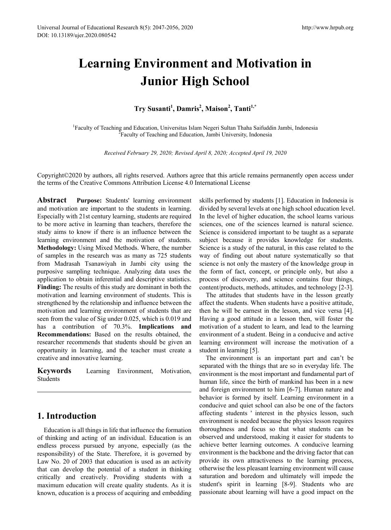# **Learning Environment and Motivation in Junior High School**

# **Try Susanti<sup>1</sup> , Damris2 , Maison<sup>2</sup> , Tanti1,\***

<sup>1</sup> Faculty of Teaching and Education, Universitas Islam Negeri Sultan Thaha Saifuddin Jambi, Indonesia<sup>2</sup> Faculty of Teaching and Education, Jambi University Indonesia <sup>2</sup> Faculty of Teaching and Education, Jambi University, Indonesia

*Received February 29, 2020; Revised April 8, 2020; Accepted April 19, 2020*

Copyright©2020 by authors, all rights reserved. Authors agree that this article remains permanently open access under the terms of the Creative Commons Attribution License 4.0 International License

**Abstract Purpose:** Students' learning environment and motivation are important to the students in learning. Especially with 21st century learning, students are required to be more active in learning than teachers, therefore the study aims to know if there is an influence between the learning environment and the motivation of students. **Methodology:** Using Mixed Methods. Where, the number of samples in the research was as many as 725 students from Madrasah Tsanawiyah in Jambi city using the purposive sampling technique. Analyzing data uses the application to obtain inferential and descriptive statistics. **Finding:** The results of this study are dominant in both the motivation and learning environment of students. This is strengthened by the relationship and influence between the motivation and learning environment of students that are seen from the value of Sig under 0.025, which is 0.019 and has a contribution of 70.3%. **Implications and Recommendations:** Based on the results obtained, the researcher recommends that students should be given an opportunity in learning, and the teacher must create a creative and innovative learning.

**Keywords** Learning Environment, Motivation, Students

# **1. Introduction**

Education is all things in life that influence the formation of thinking and acting of an individual. Education is an endless process pursued by anyone, especially (as the responsibility) of the State. Therefore, it is governed by Law No. 20 of 2003 that education is used as an activity that can develop the potential of a student in thinking critically and creatively. Providing students with a maximum education will create quality students. As it is known, education is a process of acquiring and embedding

skills performed by students [1]. Education in Indonesia is divided by several levels at one high school education level. In the level of higher education, the school learns various sciences, one of the sciences learned is natural science. Science is considered important to be taught as a separate subject because it provides knowledge for students. Science is a study of the natural, in this case related to the way of finding out about nature systematically so that science is not only the mastery of the knowledge group in the form of fact, concept, or principle only, but also a process of discovery, and science contains four things, content/products, methods, attitudes, and technology [2-3].

The attitudes that students have in the lesson greatly affect the students. When students have a positive attitude, then he will be earnest in the lesson, and vice versa [4]. Having a good attitude in a lesson then, will foster the motivation of a student to learn, and lead to the learning environment of a student. Being in a conducive and active learning environment will increase the motivation of a student in learning [5].

The environment is an important part and can't be separated with the things that are so in everyday life. The environment is the most important and fundamental part of human life, since the birth of mankind has been in a new and foreign environment to him [6-7]. Human nature and behavior is formed by itself. Learning environment in a conducive and quiet school can also be one of the factors affecting students ' interest in the physics lesson, such environment is needed because the physics lesson requires thoroughness and focus so that what students can be observed and understood, making it easier for students to achieve better learning outcomes. A conducive learning environment is the backbone and the driving factor that can provide its own attractiveness to the learning process, otherwise the less pleasant learning environment will cause saturation and boredom and ultimately will impede the student's spirit in learning [8-9]. Students who are passionate about learning will have a good impact on the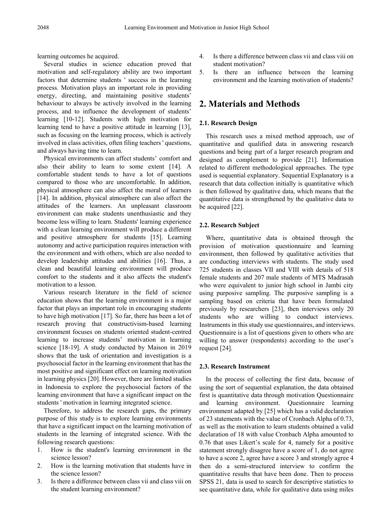learning outcomes he acquired.

Several studies in science education proved that motivation and self-regulatory ability are two important factors that determine students ' success in the learning process. Motivation plays an important role in providing energy, directing, and maintaining positive students' behaviour to always be actively involved in the learning process, and to influence the development of students' learning [10-12]. Students with high motivation for learning tend to have a positive attitude in learning [13], such as focusing on the learning process, which is actively involved in class activities, often filing teachers ' questions, and always having time to learn.

Physical environments can affect students' comfort and also their ability to learn to some extent [14]. A comfortable student tends to have a lot of questions compared to those who are uncomfortable. In addition, physical atmosphere can also affect the moral of learners [14]. In addition, physical atmosphere can also affect the attitudes of the learners. An unpleasant classroom environment can make students unenthusiastic and they become less willing to learn. Students' learning experience with a clean learning environment will produce a different and positive atmosphere for students [15]. Learning autonomy and active participation requires interaction with the environment and with others, which are also needed to develop leadership attitudes and abilities [16]. Thus, a clean and beautiful learning environment will produce comfort to the students and it also affects the student's motivation to a lesson.

Various research literature in the field of science education shows that the learning environment is a major factor that plays an important role in encouraging students to have high motivation [17]. So far, there has been a lot of research proving that constructivism-based learning environment focuses on students oriented student-centred learning to increase students' motivation in learning science [18-19]. A study conducted by Maison in 2019 shows that the task of orientation and investigation is a psychosocial factor in the learning environment that has the most positive and significant effect on learning motivation in learning physics [20]. However, there are limited studies in Indonesia to explore the psychosocial factors of the learning environment that have a significant impact on the students ' motivation in learning integrated science.

Therefore, to address the research gaps, the primary purpose of this study is to explore learning environments that have a significant impact on the learning motivation of students in the learning of integrated science. With the following research questions:

- 1. How is the student's learning environment in the science lesson?
- 2. How is the learning motivation that students have in the science lesson?
- 3. Is there a difference between class vii and class viii on the student learning environment?
- 4. Is there a difference between class vii and class viii on student motivation?
- 5. Is there an influence between the learning environment and the learning motivation of students?

# **2. Materials and Methods**

#### **2.1. Research Design**

This research uses a mixed method approach, use of quantitative and qualified data in answering research questions and being part of a larger research program and designed as complement to provide [21]. Information related to different methodological approaches. The type used is sequential explanatory. Sequential Explanatory is a research that data collection initially is quantitative which is then followed by qualitative data, which means that the quantitative data is strengthened by the qualitative data to be acquired [22].

#### **2.2. Research Subject**

Where, quantitative data is obtained through the provision of motivation questionnaire and learning environment, then followed by qualitative activities that are conducting interviews with students. The study used 725 students in classes VII and VIII with details of 518 female students and 207 male students of MTS Madrasah who were equivalent to junior high school in Jambi city using purposive sampling. The purposive sampling is a sampling based on criteria that have been formulated previously by researchers [23], then interviews only 20 students who are willing to conduct interviews. Instruments in this study use questionnaires, and interviews. Questionnaire is a list of questions given to others who are willing to answer (respondents) according to the user's request [24].

#### **2.3. Research Instrument**

In the process of collecting the first data, because of using the sort of sequential explanation, the data obtained first is quantitative data through motivation Questionnaire and learning environment. Questionnaire learning environment adapted by [25] which has a valid declaration of 23 statements with the value of Cronbach Alpha of 0.73, as well as the motivation to learn students obtained a valid declaration of 18 with value Cronbach Alpha amounted to 0.76 that uses Likert's scale for 4, namely for a positive statement strongly disagree have a score of 1, do not agree to have a score 2, agree have a score 3 and strongly agree 4 then do a semi-structured interview to confirm the quantitative results that have been done. Then to process SPSS 21, data is used to search for descriptive statistics to see quantitative data, while for qualitative data using miles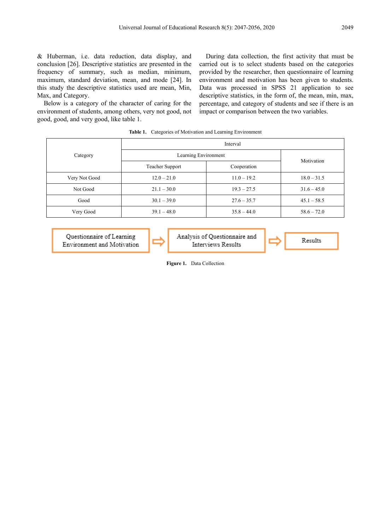& Huberman, i.e. data reduction, data display, and conclusion [26]. Descriptive statistics are presented in the frequency of summary, such as median, minimum, maximum, standard deviation, mean, and mode [24]. In this study the descriptive statistics used are mean, Min, Max, and Category.

Below is a category of the character of caring for the environment of students, among others, very not good, not good, good, and very good, like table 1.

During data collection, the first activity that must be carried out is to select students based on the categories provided by the researcher, then questionnaire of learning environment and motivation has been given to students. Data was processed in SPSS 21 application to see descriptive statistics, in the form of, the mean, min, max, percentage, and category of students and see if there is an impact or comparison between the two variables.

| <b>Table 1.</b> Categories of Motivation and Learning Environment |                      |               |               |  |  |  |  |
|-------------------------------------------------------------------|----------------------|---------------|---------------|--|--|--|--|
|                                                                   |                      | Interval      |               |  |  |  |  |
| Category                                                          | Learning Environment |               |               |  |  |  |  |
|                                                                   | Teacher Support      | Cooperation   | Motivation    |  |  |  |  |
| Very Not Good                                                     | $12.0 - 21.0$        | $11.0 - 19.2$ | $18.0 - 31.5$ |  |  |  |  |
| Not Good                                                          | $21.1 - 30.0$        | $19.3 - 27.5$ | $31.6 - 45.0$ |  |  |  |  |
| Good                                                              | $30.1 - 39.0$        | $27.6 - 35.7$ | $45.1 - 58.5$ |  |  |  |  |
| Very Good                                                         | $39.1 - 48.0$        | $35.8 - 44.0$ | $58.6 - 72.0$ |  |  |  |  |

Ouestionnaire of Learning Environment and Motivation Analysis of Ouestionnaire and Interviews Results

Results

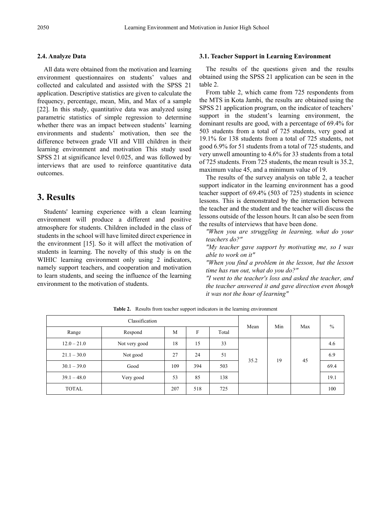## **2.4. Analyze Data**

All data were obtained from the motivation and learning environment questionnaires on students' values and collected and calculated and assisted with the SPSS 21 application. Descriptive statistics are given to calculate the frequency, percentage, mean, Min, and Max of a sample [22]. In this study, quantitative data was analyzed using parametric statistics of simple regression to determine whether there was an impact between students' learning environments and students' motivation, then see the difference between grade VII and VIII children in their learning environment and motivation This study used SPSS 21 at significance level 0.025, and was followed by interviews that are used to reinforce quantitative data outcomes.

# **3. Results**

Students' learning experience with a clean learning environment will produce a different and positive atmosphere for students. Children included in the class of students in the school will have limited direct experience in the environment [15]. So it will affect the motivation of students in learning. The novelty of this study is on the WIHIC learning environment only using 2 indicators, namely support teachers, and cooperation and motivation to learn students, and seeing the influence of the learning environment to the motivation of students.

## **3.1. Teacher Support in Learning Environment**

The results of the questions given and the results obtained using the SPSS 21 application can be seen in the table 2.

From table 2, which came from 725 respondents from the MTS in Kota Jambi, the results are obtained using the SPSS 21 application program, on the indicator of teachers' support in the student's learning environment, the dominant results are good, with a percentage of 69.4% for 503 students from a total of 725 students, very good at 19.1% for 138 students from a total of 725 students, not good 6.9% for 51 students from a total of 725 students, and very unwell amounting to 4.6% for 33 students from a total of 725 students. From 725 students, the mean result is 35.2, maximum value 45, and a minimum value of 19.

The results of the survey analysis on table 2, a teacher support indicator in the learning environment has a good teacher support of 69.4% (503 of 725) students in science lessons. This is demonstrated by the interaction between the teacher and the student and the teacher will discuss the lessons outside of the lesson hours. It can also be seen from the results of interviews that have been done.

*"When you are struggling in learning, what do your teachers do?"*

*"My teacher gave support by motivating me, so I was able to work on it"*

*"When you find a problem in the lesson, but the lesson time has run out, what do you do?"*

*"I went to the teacher's loss and asked the teacher, and the teacher answered it and gave direction even though it was not the hour of learning"*

| Classification |               |     |     |       |      | Min | Max | $\frac{0}{0}$ |
|----------------|---------------|-----|-----|-------|------|-----|-----|---------------|
| Range          | Respond       | M   | F   | Total | Mean |     |     |               |
| $12.0 - 21.0$  | Not very good | 18  | 15  | 33    |      |     |     | 4.6           |
| $21.1 - 30.0$  | Not good      | 27  | 24  | 51    | 35.2 | 19  |     | 6.9           |
| $30.1 - 39.0$  | Good          | 109 | 394 | 503   |      |     | 45  | 69.4          |
| $39.1 - 48.0$  | Very good     | 53  | 85  | 138   |      |     |     | 19.1          |
| <b>TOTAL</b>   |               | 207 | 518 | 725   |      |     |     | 100           |

**Table 2.** Results from teacher support indicators in the learning environment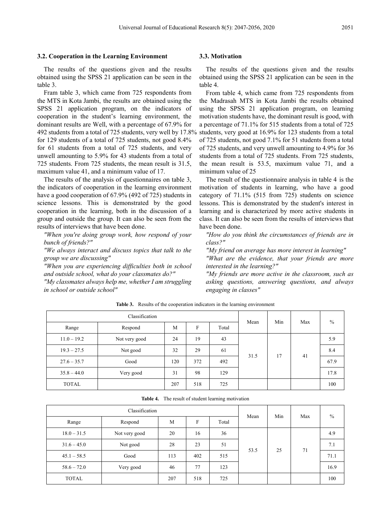#### **3.2. Cooperation in the Learning Environment**

The results of the questions given and the results obtained using the SPSS 21 application can be seen in the table 3.

Fram table 3, which came from 725 respondents from the MTS in Kota Jambi, the results are obtained using the SPSS 21 application program, on the indicators of cooperation in the student's learning environment, the dominant results are Well, with a percentage of 67.9% for for 129 students of a total of 725 students, not good 8.4% for 61 students from a total of 725 students, and very unwell amounting to 5.9% for 43 students from a total of 725 students. From 725 students, the mean result is 31.5, maximum value 41, and a minimum value of 17.

The results of the analysis of questionnaires on table 3, the indicators of cooperation in the learning environment have a good cooperation of 67.9% (492 of 725) students in science lessons. This is demonstrated by the good cooperation in the learning, both in the discussion of a group and outside the group. It can also be seen from the results of interviews that have been done.

*"When you're doing group work, how respond of your bunch of friends?"*

*"We always interact and discuss topics that talk to the group we are discussing"*

*"When you are experiencing difficulties both in school and outside school, what do your classmates do?"*

*"My classmates always help me, whether I am struggling in school or outside school"*

#### **3.3. Motivation**

The results of the questions given and the results obtained using the SPSS 21 application can be seen in the table 4.

492 students from a total of 725 students, very well by 17.8% students, very good at 16.9% for 123 students from a total From table 4, which came from 725 respondents from the Madrasah MTS in Kota Jambi the results obtained using the SPSS 21 application program, on learning motivation students have, the dominant result is good, with a percentage of 71.1% for 515 students from a total of 725 of 725 students, not good 7.1% for 51 students from a total of 725 students, and very unwell amounting to 4.9% for 36 students from a total of 725 students. From 725 students, the mean result is 53.5, maximum value 71, and a minimum value of 25

> The result of the questionnaire analysis in table 4 is the motivation of students in learning, who have a good category of 71.1% (515 from 725) students on science lessons. This is demonstrated by the student's interest in learning and is characterized by more active students in class. It can also be seen from the results of interviews that have been done.

*"How do you think the circumstances of friends are in class?"*

*"My friend on average has more interest in learning"*

*"What are the evidence, that your friends are more interested in the learning?"*

*"My friends are more active in the classroom, such as asking questions, answering questions, and always engaging in classes"*

| Classification |               |     |     |       |      | Min | Max | $\frac{0}{0}$ |
|----------------|---------------|-----|-----|-------|------|-----|-----|---------------|
| Range          | Respond       | M   | F   | Total | Mean |     |     |               |
| $11.0 - 19.2$  | Not very good | 24  | 19  | 43    |      |     | 41  | 5.9           |
| $19.3 - 27.5$  | Not good      | 32  | 29  | 61    | 31.5 | 17  |     | 8.4           |
| $27.6 - 35.7$  | Good          | 120 | 372 | 492   |      |     |     | 67.9          |
| $35.8 - 44.0$  | Very good     | 31  | 98  | 129   |      |     |     | 17.8          |
| <b>TOTAL</b>   |               | 207 | 518 | 725   |      |     |     | 100           |

**Table 3.** Results of the cooperation indicators in the learning environment

| Table 4. |  |  |  | The result of student learning motivation |
|----------|--|--|--|-------------------------------------------|
|----------|--|--|--|-------------------------------------------|

| Range         | Respond       | M   | F   | Total | Mean | Min | Max | $\%$ |
|---------------|---------------|-----|-----|-------|------|-----|-----|------|
| $18.0 - 31.5$ | Not very good | 20  | 16  | 36    |      |     | 71  | 4.9  |
| $31.6 - 45.0$ | Not good      | 28  | 23  | 51    | 53.5 | 25  |     | 7.1  |
| $45.1 - 58.5$ | Good          | 113 | 402 | 515   |      |     |     | 71.1 |
| $58.6 - 72.0$ | Very good     | 46  | 77  | 123   |      |     |     | 16.9 |
| <b>TOTAL</b>  |               | 207 | 518 | 725   |      |     |     | 100  |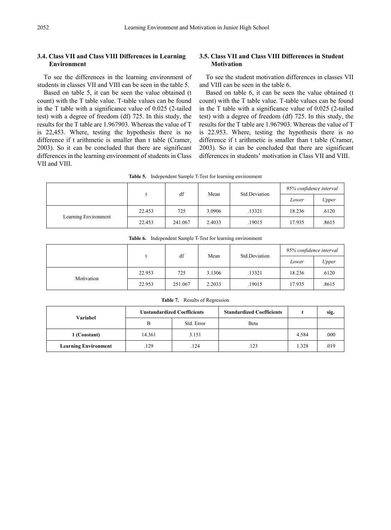## **3.4. Class VII and Class VIII Differences in Learning Environment**

To see the differences in the learning environment of students in classes VII and VIII can be seen in the table 5.

Based on table 5, it can be seen the value obtained (t count) with the T table value. T-table values can be found in the T table with a significance value of 0.025 (2-tailed test) with a degree of freedom (df) 725. In this study, the results for the T table are 1.967903. Whereas the value of T is 22,453. Where, testing the hypothesis there is no difference if t arithmetic is smaller than t table (Cramer, 2003). So it can be concluded that there are significant differences in the learning environment of students in Class VII and VIII.

## **3.5. Class VII and Class VIII Differences in Student Motivation**

To see the student motivation differences in classes VII and VIII can be seen in the table 6.

Based on table 6, it can be seen the value obtained (t count) with the T table value. T-table values can be found in the T table with a significance value of 0.025 (2-tailed test) with a degree of freedom (df) 725. In this study, the results for the T table are 1.967903. Whereas the value of T is 22.953. Where, testing the hypothesis there is no difference if t arithmetic is smaller than t table (Cramer, 2003). So it can be concluded that there are significant differences in students' motivation in Class VII and VIII.

**Table 5.** Independent Sample T-Test for learning environment

|                      |        | df      | Mean   | Std.Deviation | 95% confidence interval |       |  |
|----------------------|--------|---------|--------|---------------|-------------------------|-------|--|
|                      |        |         |        |               | Lower                   | Upper |  |
| Learning Environment | 22.453 | 725     | 3.0906 | .13321        | 18.236                  | .6120 |  |
|                      | 22.453 | 241.067 | 2.4033 | .19015        | 17.935                  | .8615 |  |

| <b>Table 6.</b> Independent Sample T-Test for learning environment |
|--------------------------------------------------------------------|
|--------------------------------------------------------------------|

|            |        |                             |        |        | 95% confidence interval |       |  |
|------------|--------|-----------------------------|--------|--------|-------------------------|-------|--|
|            |        | df<br>Std.Deviation<br>Mean |        |        | Lower                   | Upper |  |
|            | 22.953 | 725                         | 3.1306 | .13321 | 18.236                  | .6120 |  |
| Motivation | 22.953 | 251.067                     | 2.2033 | .19015 | 17.935                  | .8615 |  |

| Variabel                    |        | <b>Unstandardized Coefficients</b> | <b>Standardized Coefficients</b> |       | sig. |
|-----------------------------|--------|------------------------------------|----------------------------------|-------|------|
|                             |        | Std. Error                         | Beta                             |       |      |
| 1 (Constant)                | 14.361 | 3.151                              |                                  | 4.584 | .000 |
| <b>Learning Environment</b> | 129    | .124                               | 123                              | 1.328 | .019 |

**Table 7.** Results of Regression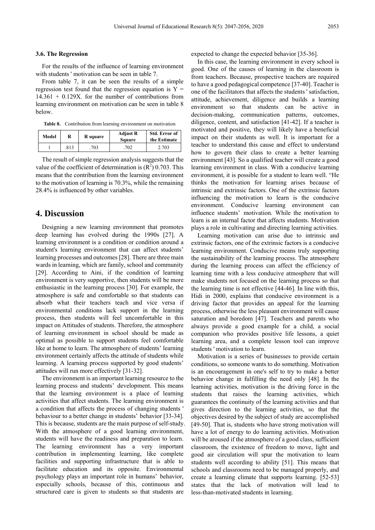#### **3.6. The Regression**

For the results of the influence of learning environment with students ' motivation can be seen in table 7.

From table 7, it can be seen the results of a simple regression test found that the regression equation is  $Y =$  $14.361 + 0.129X$ . for the number of contributions from learning environment on motivation can be seen in table 8 below.

**Table 8.** Contribution from learning environment on motivation

| Model | R    | R square | <b>Adjust R</b><br>Square | Std. Error of<br>the Estimate |
|-------|------|----------|---------------------------|-------------------------------|
|       | .813 | 703      | .702                      | 2.703                         |

The result of simple regression analysis suggests that the value of the coefficient of determination is  $(R^2)$  0.703. This means that the contribution from the learning environment to the motivation of learning is 70.3%, while the remaining 28.4% is influenced by other variables.

## **4. Discussion**

Designing a new learning environment that promotes deep learning has evolved during the 1990s [27]. A learning environment is a condition or condition around a student's learning environment that can affect students' learning processes and outcomes [28]. There are three main wards in learning, which are family, school and community [29]. According to Aini, if the condition of learning environment is very supportive, then students will be more enthusiastic in the learning process [30]. For example, the atmosphere is safe and comfortable so that students can absorb what their teachers teach and vice versa if environmental conditions lack support in the learning process, then students will feel uncomfortable in this impact on Attitudes of students. Therefore, the atmosphere of learning environment in school should be made as optimal as possible to support students feel comfortable like at home to learn. The atmosphere of students' learning environment certainly affects the attitude of students while learning. A learning process supported by good students' attitudes will run more effectively [31-32].

The environment is an important learning resource to the learning process and students' development. This means that the learning environment is a place of learning activities that affect students. The learning environment is a condition that affects the process of changing students ' behaviour to a better change in students' behavior [33-34]. This is because, students are the main purpose of self-study. With the atmosphere of a good learning environment, students will have the readiness and preparation to learn. The learning environment has a very important contribution in implementing learning, like complete facilities and supporting infrastructure that is able to facilitate education and its opposite. Environmental psychology plays an important role in humans' behavior, especially schools, because of this, continuous and structured care is given to students so that students are

expected to change the expected behavior [35-36].

In this case, the learning environment in every school is good. One of the causes of learning in the classroom is from teachers. Because, prospective teachers are required to have a good pedagogical competence [37-40]. Teacher is one of the facilitators that affects the students ' satisfaction, attitude, achievement, diligence and builds a learning environment so that students can be active in decision-making, communication patterns, outcomes, diligence, content, and satisfaction [41-42]. If a teacher is motivated and positive, they will likely have a beneficial impact on their students as well. It is important for a teacher to understand this cause and effect to understand how to govern their class to create a better learning environment [43]. So a qualified teacher will create a good learning environment in class. With a conducive learning environment, it is possible for a student to learn well. "He thinks the motivation for learning arises because of intrinsic and extrinsic factors. One of the extrinsic factors influencing the motivation to learn is the conducive environment. Conducive learning environment can influence students' motivation. While the motivation to learn is an internal factor that affects students. Motivation plays a role in cultivating and directing learning activities.

Learning motivation can arise due to intrinsic and extrinsic factors, one of the extrinsic factors is a conducive learning environment. Conducive means truly supporting the sustainability of the learning process. The atmosphere during the learning process can affect the efficiency of learning time with a less conducive atmosphere that will make students not focused on the learning process so that the learning time is not effective [44-46]. In line with this, Hidi in 2000, explains that conducive environment is a driving factor that provides an appeal for the learning process, otherwise the less pleasant environment will cause saturation and boredom [47]. Teachers and parents who always provide a good example for a child, a social companion who provides positive life lessons, a quiet learning area, and a complete lesson tool can improve students ' motivation to learn.

Motivation is a series of businesses to provide certain conditions, so someone wants to do something. Motivation is an encouragement in one's self to try to make a better behavior change in fulfilling the need only [48]. In the learning activities, motivation is the driving force in the students that raises the learning activities, which guarantees the continuity of the learning activities and that gives direction to the learning activities, so that the objectives desired by the subject of study are accomplished [49-50]. That is, students who have strong motivation will have a lot of energy to do learning activities. Motivation will be aroused if the atmosphere of a good class, sufficient classroom, the existence of freedom to move, light and good air circulation will spur the motivation to learn students well according to ability [51]. This means that schools and classrooms need to be managed properly, and create a learning climate that supports learning. [52-53] states that the lack of motivation will lead to less-than-motivated students in learning.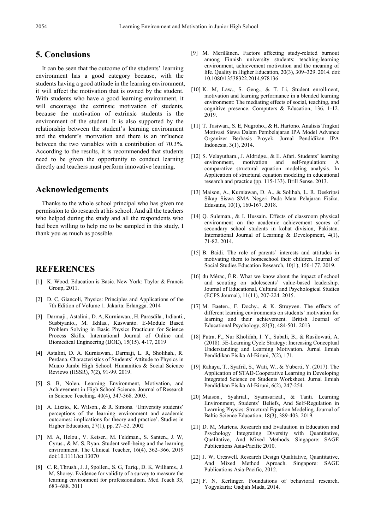## **5. Conclusions**

It can be seen that the outcome of the students' learning environment has a good category because, with the students having a good attitude in the learning environment, it will affect the motivation that is owned by the student. With students who have a good learning environment, it will encourage the extrinsic motivation of students, because the motivation of extrinsic students is the environment of the student. It is also supported by the relationship between the student's learning environment and the student's motivation and there is an influence between the two variables with a contribution of 70.3%. According to the results, it is recommended that students need to be given the opportunity to conduct learning directly and teachers must perform innovative learning.

## **Acknowledgements**

Thanks to the whole school principal who has given me permission to do research at his school. And all the teachers who helped during the study and all the respondents who had been willing to help me to be sampled in this study, I thank you as much as possible.

# **REFERENCES**

- [1] K. Wood. Education is Basic. New York: Taylor & Francis Group, 2011.
- [2] D. C, Giancoli, Physics: Principles and Applications of the 7th Edition of Volume 1. Jakarta: Erlangga. 2014
- [3] Darmaji., Astalini., D. A, Kurniawan., H. Parasdila., Irdianti., Susbiyanto., M. Ikhlas., Kuswanto. E-Module Based Problem Solving in Basic Physics Practicum for Science Process Skills. International Journal of Online and Biomedical Engineering (IJOE), 15(15). 4-17, 2019
- [4] Astalini, D. A. Kurniawan., Darmaji, L. R, Sholihah., R. Perdana. Characteristics of Students' Attitude to Physics in Muaro Jambi High School. Humanities & Social Science Reviews (HSSR), 7(2), 91-99. 2019.
- [5] S. B, Nolen. Learning Environment, Motivation, and Achievement in High School Science. Journal of Research in Science Teaching. 40(4), 347-368. 2003.
- [6] A. Lizzio., K. Wilson., & R. Simons. 'University students' perceptions of the learning environment and academic outcomes: implications for theory and practice'. Studies in Higher Education, 27(1), pp. 27–52. 2002
- [7] M. A, Helou., V. Keiser., M. Feldman., S. Santen., J. W, Cyrus., & M. S, Ryan. Student well-being and the learning environment. The Clinical Teacher, 16(4), 362–366. 2019 doi:10.1111/tct.13070
- [8] C. R, Thrush., J. J, Spollen., S. G, Tariq., D. K, Williams., J. M, Shorey. Evidence for validity of a survey to measure the learning environment for professionalism. Med Teach 33, 683–688. 2011
- [9] M. Meriläinen. Factors affecting study-related burnout among Finnish university students: teaching-learning environment, achievement motivation and the meaning of life. Quality in Higher Education, 20(3), 309–329. 2014. doi: 10.1080/13538322.2014.978136
- [10] K. M, Law., S. Geng., & T. Li, Student enrollment, motivation and learning performance in a blended learning environment: The mediating effects of social, teaching, and cognitive presence. Computers & Education, 136, 1-12. 2019.
- [11] T. Tasiwan., S. E, Nugroho., & H. Hartono. Analisis Tingkat Motivasi Siswa Dalam Pembelajaran IPA Model Advance Organizer Berbasis Proyek. Jurnal Pendidikan IPA Indonesia, 3(1), 2014.
- [12] S. Velayutham., J. Aldridge., & E. Afari. Students' learning environment, motivation and self-regulation: comparative structural equation modeling analysis. In Application of structural equation modeling in educational research and practice (pp. 115-133). Brill Sense. 2013.
- [13] Maison, A., Kurniawan, D. A., & Solihah, L. R. Deskripsi Sikap Siswa SMA Negeri Pada Mata Pelajaran Fisika. Edusains, 10(1), 160-167. 2018.
- [14] Q. Suleman., & I. Hussain. Effects of classroom physical environment on the academic achievement scores of secondary school students in kohat division, Pakistan. International Journal of Learning & Development, 4(1), 71-82. 2014.
- [15] B. Baidi. The role of parents' interests and attitudes in motivating them to homeschool their children. Journal of Social Studies Education Research, 10(1), 156-177. 2019.
- [16] du Mérac, É.R. What we know about the impact of school and scouting on adolescents' value-based leadership. Journal of Educational, Cultural and Psychological Studies (ECPS Journal), 11(11), 207-224. 2015.
- [17] M. Baeten., F. Dochy., & K. Struyven. The effects of different learning environments on students' motivation for learning and their achievement. British Journal of Educational Psychology, 83(3), 484-501. 2013
- [18] Putra, F., Nur Kholifah, I. Y., Subali, B., & Rusilowati, A. (2018). 5E-Learning Cycle Strategy: Increasing Conceptual Understanding and Learning Motivation. Jurnal Ilmiah Pendidikan Fisika Al-Biruni, 7(2), 171.
- [19] Rahayu, T., Syafril, S., Wati, W., & Yuberti, Y. (2017). The Application of STAD-Cooperative Learning in Developing Integrated Science on Students Worksheet. Jurnal Ilmiah Pendidikan Fisika Al-Biruni, 6(2), 247-254.
- [20] Maison., Syahrial., Syamsurizal., & Tanti. Learning Environment, Students' Beliefs, And Self-Regulation in Learning Physics: Structural Equation Modeling. Journal of Baltic Science Education, 18(3), 389-403. 2019.
- [21] D. M, Martens. Research and Evaluation in Education and Psychology Integrating Diversity with Quantitative, Qualitative, And Mixed Methods. Singapore: SAGE Publications Asia-Pacific 2010.
- [22] J. W, Creswell. Research Design Qualitative, Quantitative, And Mixed Method Aproach. Singapore: SAGE Publications Asia-Pacific, 2012.
- [23] F. N. Kerlinger. Foundations of behavioral research. Yogyakarta: Gadjah Mada, 2014.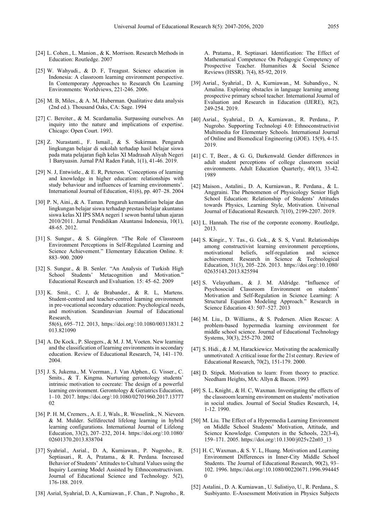- [24] L. Cohen., L. Manion., & K. Morrison. Research Methods in Education: Routledge. 2007
- [25] W. Wahyudi., & D. F, Treagust. Science education in Indonesia: A classroom learning environment perspective. In Contemporary Approaches to Research On Learning Environments: Worldviews, 221-246. 2006.
- [26] M. B. Miles.,  $\&$  A. M. Huberman. Qualitative data analysis (2nd ed.). Thousand Oaks, CA: Sage. 1994
- [27] C. Bereiter., & M. Scardamalia. Surpassing ourselves. An inquiry into the nature and implications of expertise. Chicago: Open Court. 1993.
- [28] Z. Nurastanti., F. Ismail., & S. Sukirman. Pengaruh lingkungan belajar di sekolah terhadap hasil belajar siswa pada mata pelajaran fiqih kelas XI Madrasah Aliyah Negeri 1 Banyuasin. Jurnal PAI Raden Fatah, 1(1), 41-46. 2019.
- [29] N. J, Entwistle., & E. R, Peterson. 'Conceptions of learning and knowledge in higher education: relationships with study behaviour and influences of learning environments'. International Journal of Education, 41(6), pp. 407–28. 2004
- [30] P. N, Aini., & A. Taman. Pengaruh kemandirian belajar dan lingkungan belajar siswa terhadap prestasi belajar akuntansi siswa kelas XI IPS SMA negeri 1 sewon bantul tahun ajaran 2010/2011. Jurnal Pendidikan Akuntansi Indonesia, 10(1), 48-65. 2012.
- [31] S. Sungur., & S. Güngören. "The Role of Classroom Environment Perceptions in Self-Regulated Learning and Science Achievement." Elementary Education Online. 8: 883–900. 2009
- [32] S. Sungur., & B. Senler. "An Analysis of Turkish High School Students' Metacognition and Motivation." Educational Research and Evaluation. 15: 45–62. 2009
- [33] K. Smit., C. J, de Brabander., & R. L, Martens. Student-centred and teacher-centred learning environment in pre-vocational secondary education: Psychological needs, and motivation. Scandinavian Journal of Educational Research, 58(6), 695–712. 2013, https://doi.org/:10.1080/00313831.2 013.821090
- [34] A. De Kock., P. Sleegers., & M. J. M, Voeten. New learning and the classification of learning environments in secondary education. Review of Educational Research, 74, 141–170. 2004.
- [35] J. S, Jukema., M. Veerman., J. Van Alphen., G. Visser., C. Smits., & T. Kingma. Nurturing gerontology students' intrinsic motivation to cocreate: The design of a powerful learning environment. Gerontology & Geriatrics Education, 1–10. 2017. https://doi.org/:10.1080/02701960.2017.13777 02
- [36] P. H. M, Cremers., A. E. J, Wals., R. Wesselink., N. Nieveen. & M. Mulder. Selfdirected lifelong learning in hybrid learning configurations. International Journal of Lifelong Education, 33(2), 207–232, 2014. https://doi.org/:10.1080/ 02601370.2013.838704
- [37] Syahrial., Asrial., D. A, Kurniawan., P. Nugroho., R. Septiasari., R. A, Pratama., & R. Perdana. Increased Behavior of Students' Attitudes to Cultural Values using the Inquiry Learning Model Assisted by Ethnoconstructivism. Journal of Educational Science and Technology. 5(2), 176-188. 2019.
- [38] Asrial, Syahrial, D. A, Kurniawan., F. Chan., P. Nugroho., R.

A. Pratama., R. Septiasari. Identification: The Effect of Mathematical Competence On Pedagogic Competency of Prospective Teacher. Humanities & Social Science Reviews (HSSR). 7(4), 85-92, 2019.

- [39] Asrial., Syahrial., D. A, Kurniawan., M. Subandiyo., N. Amalina. Exploring obstacles in language learning among prospective primary school teacher. International Journal of Evaluation and Research in Education (IJERE), 8(2), 249-254. 2019.
- [40] Asrial., Syahrial., D. A, Kurniawan., R. Perdana., P. Nugroho. Supporting Technologi 4.0: Ethnoconstructivist Multimedia for Elementary Schools. International Journal of Online and Biomedical Engineering (iJOE). 15(9), 4-15. 2019.
- [41] C. T, Beer., & G. G, Darkenwald. Gender differences in adult student perceptions of college classroom social environments. Adult Education Quarterly, 40(1), 33-42. 1989
- [42] Maison., Astalini., D. A, Kurniawan., R. Perdana., & L. Anggraini. The Phenomenon of Physicology Senior High School Education: Relationship of Students' Attitudes towards Physics, Learning Style, Motivation. Universal Journal of Educational Research. 7(10), 2199-2207. 2019.
- [43] L. Hannah. The rise of the corporate economy. Routledge, 2013.
- [44] S. Kingir., Y. Tas., G. Gok., & S. S, Vural. Relationships among constructivist learning environment perceptions, motivational beliefs, self-regulation and science achievement. Research in Science & Technological Education, 31(3), 205–226. 2013. https://doi.org/:10.1080/ 02635143.2013.825594
- [45] S. Velayutham., & J. M. Aldridge. "Influence of Psychosocial Classroom Environment on students' Motivation and Self-Regulation in Science Learning: A Structural Equation Modeling Approach." Research in Science Education 43: 507–527. 2013
- [46] M. Liu., D. Williams., & S. Pedersen. Alien Rescue: A problem-based hypermedia learning environment for middle school science. Journal of Educational Technology Systems, 30(3), 255-270. 2002
- [47] S. Hidi., & J. M, Harackiewicz. Motivating the academically unmotivated: A critical issue for the 21st century. Review of Educational Research, 70(2), 151-179. 2000.
- [48] D. Stipek. Motivation to learn: From theory to practice. Needham Heights, MA: Allyn & Bacon. 1993
- [49] S. L, Knight., & H. C, Waxman. Investigating the effects of the classroom learning environment on students' motivation in social studies. Journal of Social Studies Research, 14, 1-12. 1990.
- [50] M. Liu. The Effect of a Hypermedia Learning Environment on Middle School Students' Motivation, Attitude, and Science Knowledge. Computers in the Schools, 22(3-4), 159–171. 2005. https://doi.org/:10.1300/j025v22n03\_13
- [51] H. C, Waxman., & S. Y. L, Huang. Motivation and Learning Environment Differences in Inner-City Middle School Students. The Journal of Educational Research, 90(2), 93– 102. 1996. https://doi.org/:10.1080/00220671.1996.994445  $\Omega$
- [52] Astalini., D. A. Kurniawan., U. Sulistiyo, U., R. Perdana., S. Susbiyanto. E-Assessment Motivation in Physics Subjects